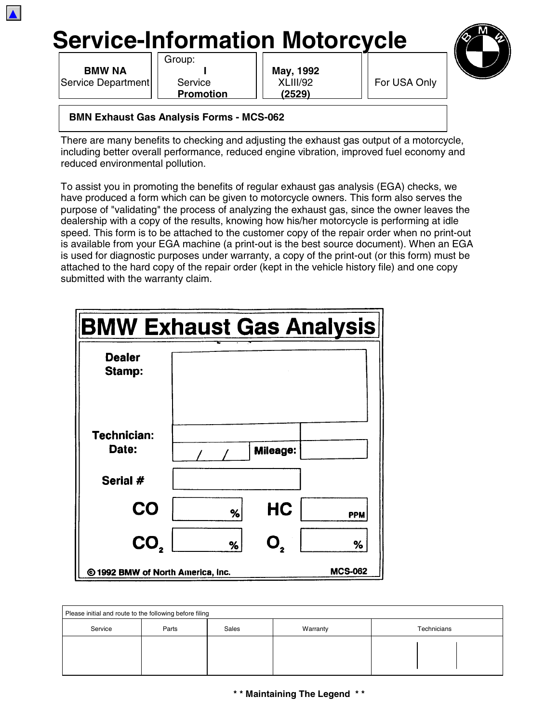

**BMW NA I May, 1992** Service Department| | Service | | XLIII/92 | | For USA Only

▲

Group:

**Promotion (2529)**



**BMN Exhaust Gas Analysis Forms - MCS-062**

There are many benefits to checking and adjusting the exhaust gas output of a motorcycle, including better overall performance, reduced engine vibration, improved fuel economy and reduced environmental pollution.

To assist you in promoting the benefits of regular exhaust gas analysis (EGA) checks, we have produced a form which can be given to motorcycle owners. This form also serves the purpose of "validating" the process of analyzing the exhaust gas, since the owner leaves the dealership with a copy of the results, knowing how his/her motorcycle is performing at idle speed. This form is to be attached to the customer copy of the repair order when no print-out is available from your EGA machine (a print-out is the best source document). When an EGA is used for diagnostic purposes under warranty, a copy of the print-out (or this form) must be attached to the hard copy of the repair order (kept in the vehicle history file) and one copy submitted with the warranty claim.

| <b>BMW Exhaust Gas Analysis</b>   |   |                  |                |  |  |
|-----------------------------------|---|------------------|----------------|--|--|
| <b>Dealer</b><br>Stamp:           |   |                  |                |  |  |
| Technician:<br>Date:              |   | Mileage:         |                |  |  |
| Serial #                          |   |                  |                |  |  |
| <b>CO</b>                         | % | HC               | <b>PPM</b>     |  |  |
| CO,                               | % | $\mathbf{O}_{2}$ | ℅              |  |  |
| © 1992 BMW of North America, Inc. |   |                  | <b>MCS-062</b> |  |  |

| Please initial and route to the following before filing |       |       |          |             |  |  |
|---------------------------------------------------------|-------|-------|----------|-------------|--|--|
| Service                                                 | Parts | Sales | Warranty | Technicians |  |  |
|                                                         |       |       |          |             |  |  |